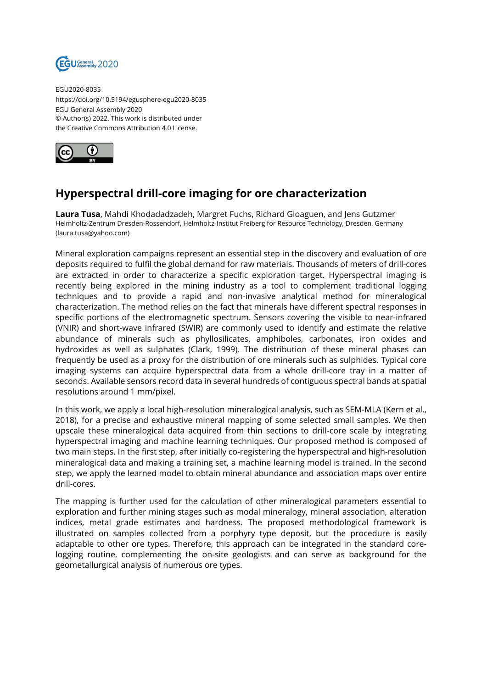

EGU2020-8035 https://doi.org/10.5194/egusphere-egu2020-8035 EGU General Assembly 2020 © Author(s) 2022. This work is distributed under the Creative Commons Attribution 4.0 License.



## **Hyperspectral drill-core imaging for ore characterization**

**Laura Tusa**, Mahdi Khodadadzadeh, Margret Fuchs, Richard Gloaguen, and Jens Gutzmer Helmholtz-Zentrum Dresden-Rossendorf, Helmholtz-Institut Freiberg for Resource Technology, Dresden, Germany (laura.tusa@yahoo.com)

Mineral exploration campaigns represent an essential step in the discovery and evaluation of ore deposits required to fulfil the global demand for raw materials. Thousands of meters of drill-cores are extracted in order to characterize a specific exploration target. Hyperspectral imaging is recently being explored in the mining industry as a tool to complement traditional logging techniques and to provide a rapid and non-invasive analytical method for mineralogical characterization. The method relies on the fact that minerals have different spectral responses in specific portions of the electromagnetic spectrum. Sensors covering the visible to near-infrared (VNIR) and short-wave infrared (SWIR) are commonly used to identify and estimate the relative abundance of minerals such as phyllosilicates, amphiboles, carbonates, iron oxides and hydroxides as well as sulphates (Clark, 1999). The distribution of these mineral phases can frequently be used as a proxy for the distribution of ore minerals such as sulphides. Typical core imaging systems can acquire hyperspectral data from a whole drill-core tray in a matter of seconds. Available sensors record data in several hundreds of contiguous spectral bands at spatial resolutions around 1 mm/pixel.

In this work, we apply a local high-resolution mineralogical analysis, such as SEM-MLA (Kern et al., 2018), for a precise and exhaustive mineral mapping of some selected small samples. We then upscale these mineralogical data acquired from thin sections to drill-core scale by integrating hyperspectral imaging and machine learning techniques. Our proposed method is composed of two main steps. In the first step, after initially co-registering the hyperspectral and high-resolution mineralogical data and making a training set, a machine learning model is trained. In the second step, we apply the learned model to obtain mineral abundance and association maps over entire drill-cores.

The mapping is further used for the calculation of other mineralogical parameters essential to exploration and further mining stages such as modal mineralogy, mineral association, alteration indices, metal grade estimates and hardness. The proposed methodological framework is illustrated on samples collected from a porphyry type deposit, but the procedure is easily adaptable to other ore types. Therefore, this approach can be integrated in the standard corelogging routine, complementing the on-site geologists and can serve as background for the geometallurgical analysis of numerous ore types.